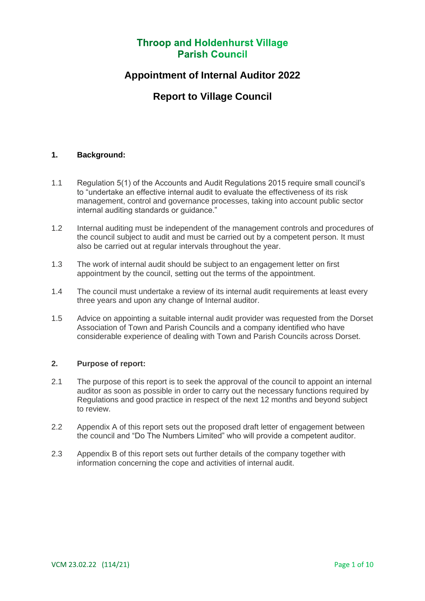## **Appointment of Internal Auditor 2022**

## **Report to Village Council**

### **1. Background:**

- 1.1 Regulation 5(1) of the Accounts and Audit Regulations 2015 require small council's to "undertake an effective internal audit to evaluate the effectiveness of its risk management, control and governance processes, taking into account public sector internal auditing standards or guidance."
- 1.2 Internal auditing must be independent of the management controls and procedures of the council subject to audit and must be carried out by a competent person. It must also be carried out at regular intervals throughout the year.
- 1.3 The work of internal audit should be subject to an engagement letter on first appointment by the council, setting out the terms of the appointment.
- 1.4 The council must undertake a review of its internal audit requirements at least every three years and upon any change of Internal auditor.
- 1.5 Advice on appointing a suitable internal audit provider was requested from the Dorset Association of Town and Parish Councils and a company identified who have considerable experience of dealing with Town and Parish Councils across Dorset.

### **2. Purpose of report:**

- 2.1 The purpose of this report is to seek the approval of the council to appoint an internal auditor as soon as possible in order to carry out the necessary functions required by Regulations and good practice in respect of the next 12 months and beyond subject to review.
- 2.2 Appendix A of this report sets out the proposed draft letter of engagement between the council and "Do The Numbers Limited" who will provide a competent auditor.
- 2.3 Appendix B of this report sets out further details of the company together with information concerning the cope and activities of internal audit.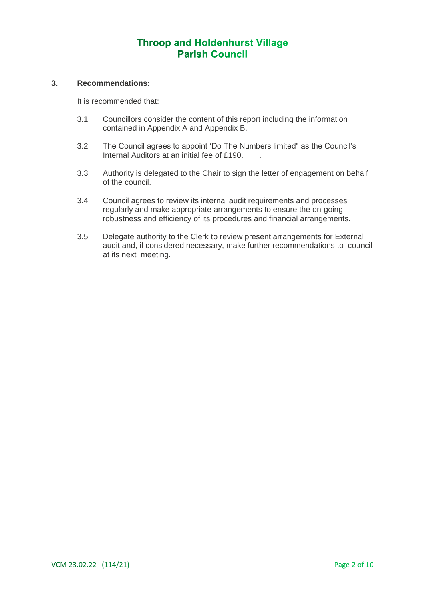#### **3. Recommendations:**

It is recommended that:

- 3.1 Councillors consider the content of this report including the information contained in Appendix A and Appendix B.
- 3.2 The Council agrees to appoint 'Do The Numbers limited" as the Council's Internal Auditors at an initial fee of £190.
- 3.3 Authority is delegated to the Chair to sign the letter of engagement on behalf of the council.
- 3.4 Council agrees to review its internal audit requirements and processes regularly and make appropriate arrangements to ensure the on-going robustness and efficiency of its procedures and financial arrangements.
- 3.5 Delegate authority to the Clerk to review present arrangements for External audit and, if considered necessary, make further recommendations to council at its next meeting.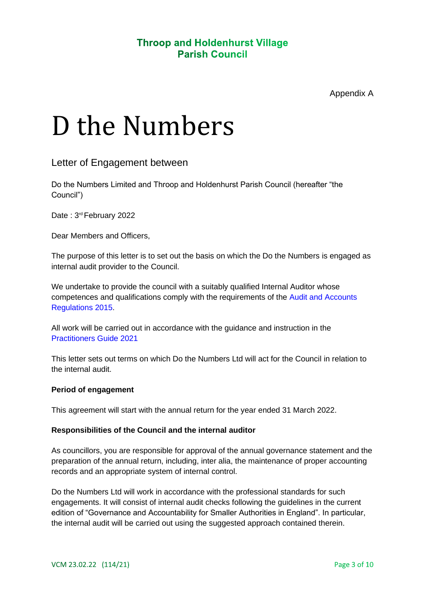# D the Numbers

## Letter of Engagement between

Do the Numbers Limited and Throop and Holdenhurst Parish Council (hereafter "the Council")

Date: 3<sup>rd</sup> February 2022

Dear Members and Officers,

The purpose of this letter is to set out the basis on which the Do the Numbers is engaged as internal audit provider to the Council.

We undertake to provide the council with a suitably qualified Internal Auditor whose competences and qualifications comply with the requirements of the Audit and Accounts Regulations 2015.

All work will be carried out in accordance with the guidance and instruction in the Practitioners Guide 2021

This letter sets out terms on which Do the Numbers Ltd will act for the Council in relation to the internal audit.

### **Period of engagement**

This agreement will start with the annual return for the year ended 31 March 2022.

### **Responsibilities of the Council and the internal auditor**

As councillors, you are responsible for approval of the annual governance statement and the preparation of the annual return, including, inter alia, the maintenance of proper accounting records and an appropriate system of internal control.

Do the Numbers Ltd will work in accordance with the professional standards for such engagements. It will consist of internal audit checks following the guidelines in the current edition of "Governance and Accountability for Smaller Authorities in England". In particular, the internal audit will be carried out using the suggested approach contained therein.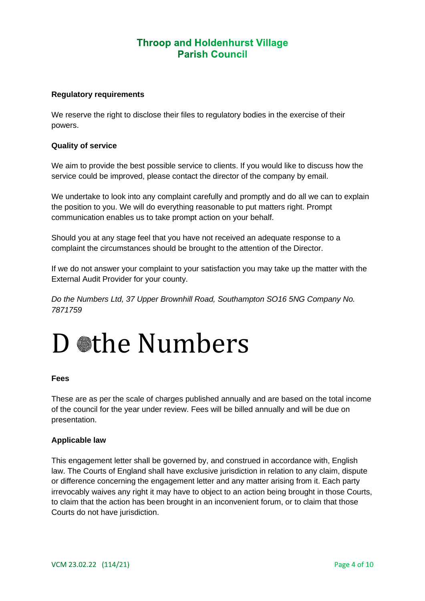#### **Regulatory requirements**

We reserve the right to disclose their files to regulatory bodies in the exercise of their powers.

#### **Quality of service**

We aim to provide the best possible service to clients. If you would like to discuss how the service could be improved, please contact the director of the company by email.

We undertake to look into any complaint carefully and promptly and do all we can to explain the position to you. We will do everything reasonable to put matters right. Prompt communication enables us to take prompt action on your behalf.

Should you at any stage feel that you have not received an adequate response to a complaint the circumstances should be brought to the attention of the Director.

If we do not answer your complaint to your satisfaction you may take up the matter with the External Audit Provider for your county.

*Do the Numbers Ltd, 37 Upper Brownhill Road, Southampton SO16 5NG Company No. 7871759* 

## D othe Numbers

#### **Fees**

These are as per the scale of charges published annually and are based on the total income of the council for the year under review. Fees will be billed annually and will be due on presentation.

#### **Applicable law**

This engagement letter shall be governed by, and construed in accordance with, English law. The Courts of England shall have exclusive jurisdiction in relation to any claim, dispute or difference concerning the engagement letter and any matter arising from it. Each party irrevocably waives any right it may have to object to an action being brought in those Courts, to claim that the action has been brought in an inconvenient forum, or to claim that those Courts do not have jurisdiction.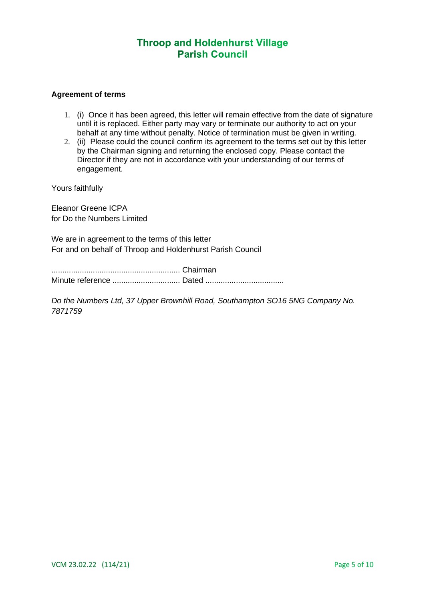#### **Agreement of terms**

- 1. (i) Once it has been agreed, this letter will remain effective from the date of signature until it is replaced. Either party may vary or terminate our authority to act on your behalf at any time without penalty. Notice of termination must be given in writing.
- 2. (ii) Please could the council confirm its agreement to the terms set out by this letter by the Chairman signing and returning the enclosed copy. Please contact the Director if they are not in accordance with your understanding of our terms of engagement.

Yours faithfully

Eleanor Greene ICPA for Do the Numbers Limited

We are in agreement to the terms of this letter For and on behalf of Throop and Holdenhurst Parish Council

........................................................... Chairman Minute reference ............................... Dated ....................................

*Do the Numbers Ltd, 37 Upper Brownhill Road, Southampton SO16 5NG Company No. 7871759*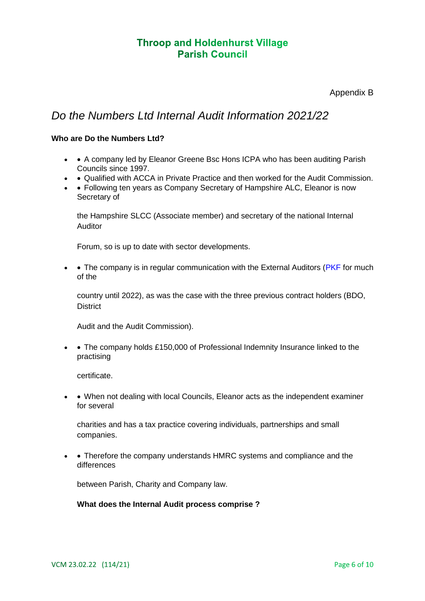Appendix B

## *Do the Numbers Ltd Internal Audit Information 2021/22*

### **Who are Do the Numbers Ltd?**

- • A company led by Eleanor Greene Bsc Hons ICPA who has been auditing Parish Councils since 1997.
- • Qualified with ACCA in Private Practice and then worked for the Audit Commission.
- • Following ten years as Company Secretary of Hampshire ALC, Eleanor is now Secretary of

the Hampshire SLCC (Associate member) and secretary of the national Internal Auditor

Forum, so is up to date with sector developments.

• • The company is in regular communication with the External Auditors ( $PKF$  for much of the

country until 2022), as was the case with the three previous contract holders (BDO, **District** 

Audit and the Audit Commission).

• • The company holds £150,000 of Professional Indemnity Insurance linked to the practising

certificate.

• • When not dealing with local Councils, Eleanor acts as the independent examiner for several

charities and has a tax practice covering individuals, partnerships and small companies.

• • Therefore the company understands HMRC systems and compliance and the differences

between Parish, Charity and Company law.

### **What does the Internal Audit process comprise ?**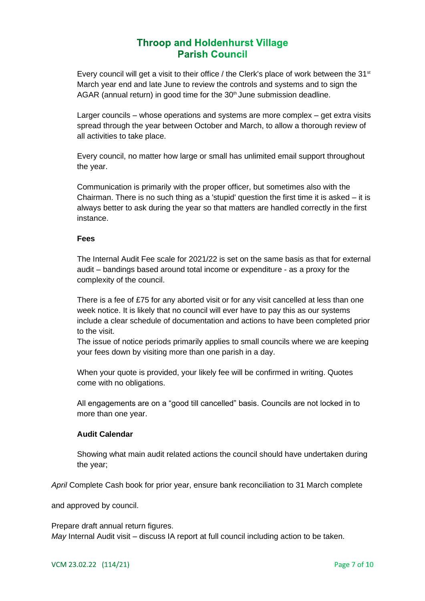Every council will get a visit to their office / the Clerk's place of work between the  $31<sup>st</sup>$ March year end and late June to review the controls and systems and to sign the AGAR (annual return) in good time for the  $30<sup>th</sup>$  June submission deadline.

Larger councils – whose operations and systems are more complex – get extra visits spread through the year between October and March, to allow a thorough review of all activities to take place.

Every council, no matter how large or small has unlimited email support throughout the year.

Communication is primarily with the proper officer, but sometimes also with the Chairman. There is no such thing as a 'stupid' question the first time it is asked  $-$  it is always better to ask during the year so that matters are handled correctly in the first instance.

#### **Fees**

The Internal Audit Fee scale for 2021/22 is set on the same basis as that for external audit – bandings based around total income or expenditure - as a proxy for the complexity of the council.

There is a fee of £75 for any aborted visit or for any visit cancelled at less than one week notice. It is likely that no council will ever have to pay this as our systems include a clear schedule of documentation and actions to have been completed prior to the visit.

The issue of notice periods primarily applies to small councils where we are keeping your fees down by visiting more than one parish in a day.

When your quote is provided, your likely fee will be confirmed in writing. Quotes come with no obligations.

All engagements are on a "good till cancelled" basis. Councils are not locked in to more than one year.

### **Audit Calendar**

Showing what main audit related actions the council should have undertaken during the year;

*April* Complete Cash book for prior year, ensure bank reconciliation to 31 March complete

and approved by council.

Prepare draft annual return figures. *May* Internal Audit visit – discuss IA report at full council including action to be taken.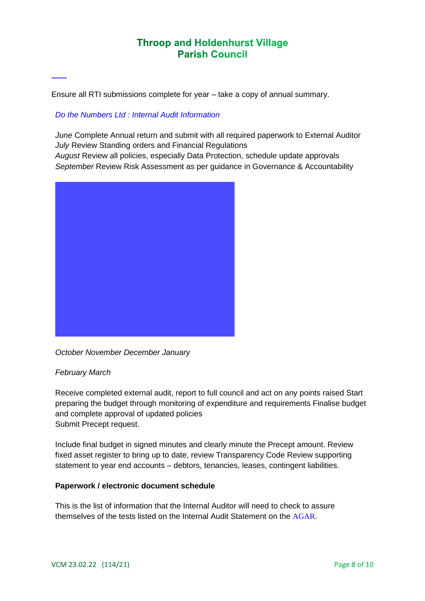Ensure all RTI submissions complete for year – take a copy of annual summary.

## *Do the Numbers Ltd : Internal Audit Information*

*June* Complete Annual return and submit with all required paperwork to External Auditor *July* Review Standing orders and Financial Regulations *August* Review all policies, especially Data Protection, schedule update approvals *September* Review Risk Assessment as per guidance in Governance & Accountability



*October November December January* 

## *February March*

Receive completed external audit, report to full council and act on any points raised Start preparing the budget through monitoring of expenditure and requirements Finalise budget and complete approval of updated policies Submit Precept request.

Include final budget in signed minutes and clearly minute the Precept amount. Review fixed asset register to bring up to date, review Transparency Code Review supporting statement to year end accounts – debtors, tenancies, leases, contingent liabilities.

### **Paperwork / electronic document schedule**

This is the list of information that the Internal Auditor will need to check to assure themselves of the tests listed on the Internal Audit Statement on the AGAR.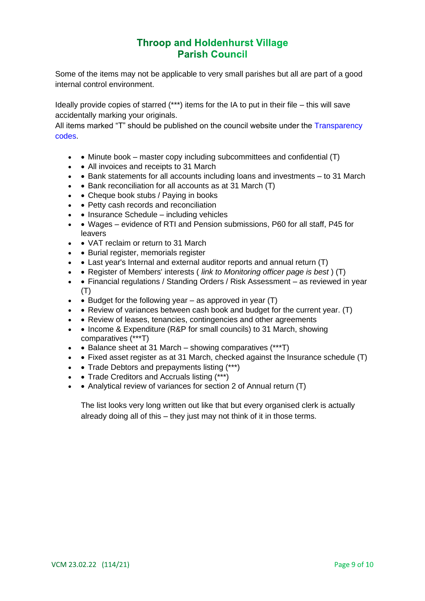Some of the items may not be applicable to very small parishes but all are part of a good internal control environment.

Ideally provide copies of starred (\*\*\*) items for the IA to put in their file – this will save accidentally marking your originals.

All items marked "T" should be published on the council website under the Transparency codes.

- • Minute book master copy including subcommittees and confidential  $(T)$
- • All invoices and receipts to 31 March
- • Bank statements for all accounts including loans and investments to 31 March
- • Bank reconciliation for all accounts as at 31 March (T)
- • Cheque book stubs / Paying in books
- • Petty cash records and reconciliation
- • Insurance Schedule including vehicles
- • Wages evidence of RTI and Pension submissions, P60 for all staff, P45 for leavers
- • VAT reclaim or return to 31 March
- Burial register, memorials register
- • Last year's Internal and external auditor reports and annual return (T)
- • Register of Members' interests ( *link to Monitoring officer page is best* ) (T)
- • Financial regulations / Standing Orders / Risk Assessment as reviewed in year  $(T)$
- • Budget for the following year  $-$  as approved in year  $(T)$
- • Review of variances between cash book and budget for the current year. (T)
- • Review of leases, tenancies, contingencies and other agreements
- • Income & Expenditure (R&P for small councils) to 31 March, showing comparatives (\*\*\*T)
- • Balance sheet at 31 March showing comparatives  $(***T)$
- • Fixed asset register as at 31 March, checked against the Insurance schedule (T)
- • Trade Debtors and prepayments listing (\*\*\*)
- • Trade Creditors and Accruals listing (\*\*\*)
- Analytical review of variances for section 2 of Annual return (T)

The list looks very long written out like that but every organised clerk is actually already doing all of this – they just may not think of it in those terms.